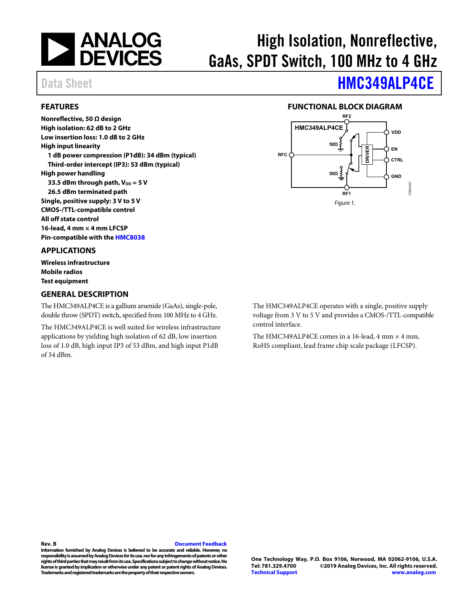

# High Isolation, Nonreflective, GaAs, SPDT Switch, 100 MHz to 4 GHz

### <span id="page-0-0"></span>**FEATURES**

**Nonreflective, 50 Ω design High isolation: 62 dB to 2 GHz Low insertion loss: 1.0 dB to 2 GHz High input linearity 1 dB power compression (P1dB): 34 dBm (typical) Third-order intercept (IP3): 53 dBm (typical) High power handling 33.5 dBm through path, VDD = 5 V 26.5 dBm terminated path Single, positive supply: 3 V to 5 V CMOS-/TTL-compatible control All off state control 16-lead, 4 mm × 4 mm LFCSP** 

**Pin-compatible with th[e HMC8038](https://www.analog.com/HMC8038?doc=HMC349ALP4CE.pdf)**

### <span id="page-0-1"></span>**APPLICATIONS**

**Wireless infrastructure Mobile radios Test equipment** 

### <span id="page-0-3"></span>**GENERAL DESCRIPTION**

The HMC349ALP4CE is a gallium arsenide (GaAs), single-pole, double throw (SPDT) switch, specified from 100 MHz to 4 GHz.

The HMC349ALP4CE is well suited for wireless infrastructure applications by yielding high isolation of 62 dB, low insertion loss of 1.0 dB, high input IP3 of 53 dBm, and high input P1dB of 34 dBm.

Data Sheet **[HMC349ALP4CE](https://www.analog.com/HMC349ALP4CE?doc=HMC349ALP4CE.pdf)** 

### **FUNCTIONAL BLOCK DIAGRAM**

<span id="page-0-2"></span>

The HMC349ALP4CE operates with a single, positive supply voltage from 3 V to 5 V and provides a CMOS-/TTL-compatible control interface.

The HMC349ALP4CE comes in a 16-lead, 4 mm  $\times$  4 mm, RoHS compliant, lead frame chip scale package (LFCSP).

#### **Rev. B [Document Feedback](https://form.analog.com/Form_Pages/feedback/documentfeedback.aspx?doc=HMC349ALP4CE.pdf&product=HMC349ALP4CE&rev=B)**

**Information furnished by Analog Devices is believed to be accurate and reliable. However, no responsibility is assumed by Analog Devices for its use, nor for any infringements of patents or other rights of third parties that may result from its use. Specifications subject to change without notice. No license is granted by implication or otherwise under any patent or patent rights of Analog Devices. Trademarks and registered trademarks are the property of their respective owners.**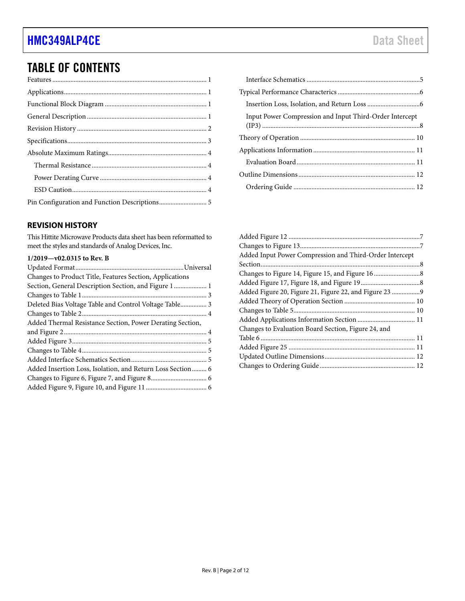# TABLE OF CONTENTS

### <span id="page-1-0"></span>**REVISION HISTORY**

This Hittite Microwave Products data sheet has been reformatted to meet the styles and standards of Analog Devices, Inc.

### **1/2019—v02.0315 to Rev. B**

| Changes to Product Title, Features Section, Applications   |  |
|------------------------------------------------------------|--|
|                                                            |  |
|                                                            |  |
| Deleted Bias Voltage Table and Control Voltage Table 3     |  |
|                                                            |  |
| Added Thermal Resistance Section, Power Derating Section,  |  |
|                                                            |  |
|                                                            |  |
|                                                            |  |
|                                                            |  |
| Added Insertion Loss, Isolation, and Return Loss Section 6 |  |
|                                                            |  |
|                                                            |  |

| Input Power Compression and Input Third-Order Intercept |
|---------------------------------------------------------|
|                                                         |
|                                                         |
|                                                         |
|                                                         |
|                                                         |
|                                                         |
|                                                         |

| Added Input Power Compression and Third-Order Intercept |  |
|---------------------------------------------------------|--|
|                                                         |  |
|                                                         |  |
|                                                         |  |
| Added Figure 20, Figure 21, Figure 22, and Figure 23 9  |  |
|                                                         |  |
|                                                         |  |
|                                                         |  |
| Changes to Evaluation Board Section, Figure 24, and     |  |
|                                                         |  |
|                                                         |  |
|                                                         |  |
|                                                         |  |
|                                                         |  |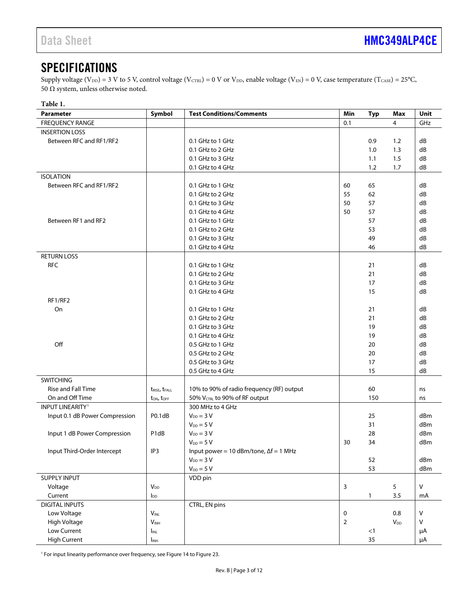# <span id="page-2-0"></span>SPECIFICATIONS

Supply voltage (V<sub>DD</sub>) = 3 V to 5 V, control voltage (V<sub>CTRL</sub>) = 0 V or V<sub>DD</sub>, enable voltage (V<sub>EN</sub>) = 0 V, case temperature (T<sub>CASE</sub>) = 25°C, 50 Ω system, unless otherwise noted.

| Parameter                      | Symbol                                | <b>Test Conditions/Comments</b>               | Min            | <b>Typ</b> | Max            | Unit    |
|--------------------------------|---------------------------------------|-----------------------------------------------|----------------|------------|----------------|---------|
| <b>FREQUENCY RANGE</b>         |                                       |                                               | 0.1            |            | $\overline{4}$ | GHz     |
| <b>INSERTION LOSS</b>          |                                       |                                               |                |            |                |         |
| Between RFC and RF1/RF2        |                                       | 0.1 GHz to 1 GHz                              |                | 0.9        | 1.2            | dB      |
|                                |                                       | 0.1 GHz to 2 GHz                              |                | 1.0        | 1.3            | dB      |
|                                |                                       | 0.1 GHz to 3 GHz                              |                | 1.1        | 1.5            | dB      |
|                                |                                       | 0.1 GHz to 4 GHz                              |                | 1.2        | 1.7            | dB      |
| <b>ISOLATION</b>               |                                       |                                               |                |            |                |         |
| Between RFC and RF1/RF2        |                                       | 0.1 GHz to 1 GHz                              | 60             | 65         |                | dB      |
|                                |                                       | 0.1 GHz to 2 GHz                              | 55             | 62         |                | dB      |
|                                |                                       | 0.1 GHz to 3 GHz                              | 50             | 57         |                | dB      |
|                                |                                       | 0.1 GHz to 4 GHz                              | 50             | 57         |                | dB      |
| Between RF1 and RF2            |                                       | 0.1 GHz to 1 GHz                              |                | 57         |                | dB      |
|                                |                                       | 0.1 GHz to 2 GHz                              |                | 53         |                | dB      |
|                                |                                       | 0.1 GHz to 3 GHz                              |                | 49         |                | dB      |
|                                |                                       | 0.1 GHz to 4 GHz                              |                | 46         |                | dB      |
| <b>RETURN LOSS</b>             |                                       |                                               |                |            |                |         |
| <b>RFC</b>                     |                                       | 0.1 GHz to 1 GHz                              |                | 21         |                | dB      |
|                                |                                       | 0.1 GHz to 2 GHz                              |                | 21         |                | dB      |
|                                |                                       | 0.1 GHz to 3 GHz                              |                | 17         |                | dB      |
|                                |                                       | 0.1 GHz to 4 GHz                              |                | 15         |                | dB      |
| RF1/RF2                        |                                       |                                               |                |            |                |         |
| On                             |                                       | 0.1 GHz to 1 GHz                              |                | 21         |                | dB      |
|                                |                                       | 0.1 GHz to 2 GHz                              |                | 21         |                | dB      |
|                                |                                       | 0.1 GHz to 3 GHz                              |                | 19         |                | dB      |
|                                |                                       | 0.1 GHz to 4 GHz                              |                | 19         |                | dB      |
| Off                            |                                       | 0.5 GHz to 1 GHz                              |                | 20         |                | dB      |
|                                |                                       | 0.5 GHz to 2 GHz                              |                | 20         |                | dB      |
|                                |                                       | 0.5 GHz to 3 GHz                              |                | 17         |                | dB      |
|                                |                                       | 0.5 GHz to 4 GHz                              |                | 15         |                | dB      |
| <b>SWITCHING</b>               |                                       |                                               |                |            |                |         |
| Rise and Fall Time             | t <sub>RISE</sub> , t <sub>FALL</sub> | 10% to 90% of radio frequency (RF) output     |                | 60         |                | ns      |
| On and Off Time                | $t_{ON}$ , $t_{OFF}$                  | 50% V <sub>CTRL</sub> to 90% of RF output     |                | 150        |                | ns      |
| <b>INPUT LINEARITY1</b>        |                                       | 300 MHz to 4 GHz                              |                |            |                |         |
| Input 0.1 dB Power Compression | P <sub>0.1</sub> d <sub>B</sub>       | $V_{DD} = 3 V$                                |                | 25         |                | dBm     |
|                                |                                       | $V_{DD} = 5 V$                                |                | 31         |                | dBm     |
| Input 1 dB Power Compression   | P1dB                                  | $V_{DD} = 3 V$                                |                | 28         |                | dBm     |
|                                |                                       | $V_{DD} = 5 V$                                | 30             | 34         |                | dBm     |
| Input Third-Order Intercept    | IP3                                   | Input power = 10 dBm/tone, $\Delta f = 1$ MHz |                |            |                |         |
|                                |                                       | $V_{DD} = 3 V$                                |                | 52         |                | dBm     |
|                                |                                       | $V_{DD} = 5 V$                                |                | 53         |                | dBm     |
| SUPPLY INPUT                   |                                       | VDD pin                                       |                |            |                |         |
| Voltage                        | $V_{DD}$                              |                                               | $\overline{3}$ |            | 5              | $\vee$  |
| Current                        | $I_{DD}$                              |                                               |                | 1          | 3.5            | mA      |
| <b>DIGITAL INPUTS</b>          |                                       | CTRL, EN pins                                 |                |            |                |         |
| Low Voltage                    | $V_{\text{INL}}$                      |                                               | $\mathbf 0$    |            | 0.8            | V       |
| High Voltage                   | V <sub>INH</sub>                      |                                               | $\overline{2}$ |            | $V_{DD}$       | $\sf V$ |
| Low Current                    | IINL                                  |                                               |                | $<1\,$     |                | μA      |
| <b>High Current</b>            | I <sub>INH</sub>                      |                                               |                | 35         |                | μA      |

<sup>1</sup> For input linearity performance over frequency, se[e Figure 14](#page-7-1) t[o Figure 23.](#page-8-0)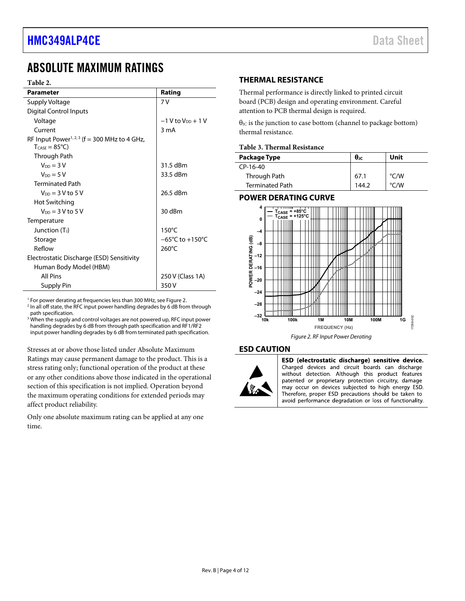# <span id="page-3-0"></span>ABSOLUTE MAXIMUM RATINGS

### <span id="page-3-5"></span>**Table 2.**

| <b>Parameter</b>                                                                               | Rating                              |  |  |
|------------------------------------------------------------------------------------------------|-------------------------------------|--|--|
| Supply Voltage                                                                                 | 7V                                  |  |  |
| <b>Digital Control Inputs</b>                                                                  |                                     |  |  |
| Voltage                                                                                        | $-1$ V to $V_{DD}$ + 1 V            |  |  |
| Current                                                                                        | 3 mA                                |  |  |
| RF Input Power <sup>1, 2, 3</sup> ( $f = 300$ MHz to 4 GHz,<br>$T_{\text{CASE}} = 85^{\circ}C$ |                                     |  |  |
| Through Path                                                                                   |                                     |  |  |
| $V_{DD} = 3 V$                                                                                 | 31.5 dBm                            |  |  |
| $V_{DD} = 5V$                                                                                  | 33.5 dBm                            |  |  |
| <b>Terminated Path</b>                                                                         |                                     |  |  |
| $V_{DD} = 3 V to 5 V$                                                                          | 26.5 dBm                            |  |  |
| Hot Switching                                                                                  |                                     |  |  |
| $V_{DD} = 3 V to 5 V$                                                                          | 30 dBm                              |  |  |
| Temperature                                                                                    |                                     |  |  |
| Junction (T <sub>J</sub> )                                                                     | $150^{\circ}$ C                     |  |  |
| Storage                                                                                        | $-65^{\circ}$ C to $+150^{\circ}$ C |  |  |
| Reflow                                                                                         | $260^{\circ}$ C                     |  |  |
| Electrostatic Discharge (ESD) Sensitivity                                                      |                                     |  |  |
| Human Body Model (HBM)                                                                         |                                     |  |  |
| <b>All Pins</b>                                                                                | 250 V (Class 1A)                    |  |  |
| Supply Pin                                                                                     | 350V                                |  |  |

 $^1$  For power derating at frequencies less than 300 MHz, see Figure 2.<br><sup>2</sup> In all off state, the RFC input power bandling degrades by 6 dB fron

<sup>2</sup> In all off state, the RFC input power handling degrades by 6 dB from through path specification.

<sup>3</sup> When the supply and control voltages are not powered up, RFC input power handling degrades by 6 dB from through path specification and RF1/RF2 input power handling degrades by 6 dB from terminated path specification.

Stresses at or above those listed under Absolute Maximum Ratings may cause permanent damage to the product. This is a stress rating only; functional operation of the product at these or any other conditions above those indicated in the operational section of this specification is not implied. Operation beyond the maximum operating conditions for extended periods may affect product reliability.

Only one absolute maximum rating can be applied at any one time.

### <span id="page-3-1"></span>**THERMAL RESISTANCE**

Thermal performance is directly linked to printed circuit board (PCB) design and operating environment. Careful attention to PCB thermal design is required.

 $\theta$ <sub>JC</sub> is the junction to case bottom (channel to package bottom) thermal resistance.

### **Table 3. Thermal Resistance**

| Package Type    | $\theta$ JC | Unit |
|-----------------|-------------|------|
| CP-16-40        |             |      |
| Through Path    | 67.1        | °C/W |
| Terminated Path | 144.2       | °C/W |

### <span id="page-3-2"></span>**POWER DERATING CURVE**



#### <span id="page-3-4"></span><span id="page-3-3"></span>**ESD CAUTION**



ESD (electrostatic discharge) sensitive device. Charged devices and circuit boards can discharge without detection. Although this product features patented or proprietary protection circuitry, damage may occur on devices subjected to high energy ESD. Therefore, proper ESD precautions should be taken to avoid performance degradation or loss of functionality.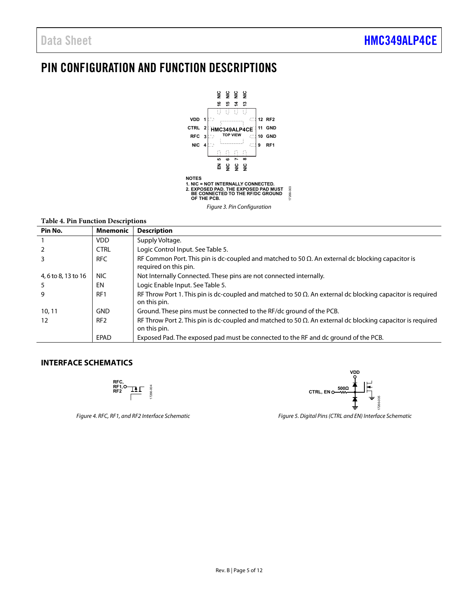# <span id="page-4-0"></span>PIN CONFIGURATION AND FUNCTION DESCRIPTIONS



#### Figure 3. Pin Configuration

### **Table 4. Pin Function Descriptions**

| Pin No.             | <b>Mnemonic</b> | <b>Description</b>                                                                                                                 |
|---------------------|-----------------|------------------------------------------------------------------------------------------------------------------------------------|
|                     | <b>VDD</b>      | Supply Voltage.                                                                                                                    |
|                     | <b>CTRL</b>     | Logic Control Input. See Table 5.                                                                                                  |
|                     | <b>RFC</b>      | RF Common Port. This pin is dc-coupled and matched to 50 $\Omega$ . An external dc blocking capacitor is<br>required on this pin.  |
| 4, 6 to 8, 13 to 16 | NIC.            | Not Internally Connected. These pins are not connected internally.                                                                 |
| 5                   | EN              | Logic Enable Input. See Table 5.                                                                                                   |
| q                   | RF1             | RF Throw Port 1. This pin is dc-coupled and matched to 50 $\Omega$ . An external dc blocking capacitor is required<br>on this pin. |
| 10, 11              | <b>GND</b>      | Ground. These pins must be connected to the RF/dc ground of the PCB.                                                               |
| 12                  | RF <sub>2</sub> | RF Throw Port 2. This pin is dc-coupled and matched to 50 $\Omega$ . An external dc blocking capacitor is required<br>on this pin. |
|                     | EPAD            | Exposed Pad. The exposed pad must be connected to the RF and dc ground of the PCB.                                                 |

### <span id="page-4-1"></span>**INTERFACE SCHEMATICS**



Figure 4. RFC, RF1, and RF2 Interface Schematic



Figure 5. Digital Pins (CTRL and EN) Interface Schematic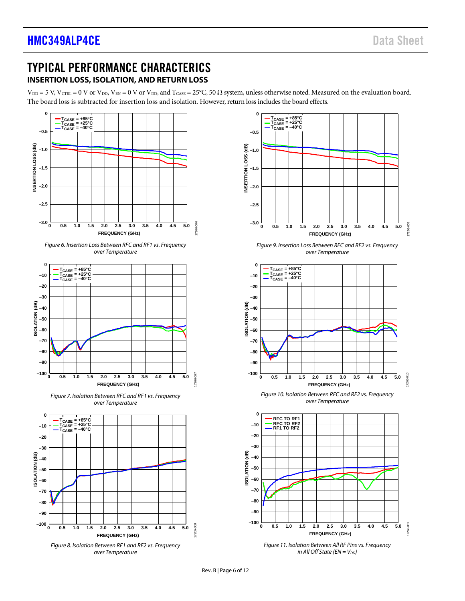17266-009

7266-009

17266-010

7266-010

17266-011

17266-011

## <span id="page-5-0"></span>TYPICAL PERFORMANCE CHARACTERICS **INSERTION LOSS, ISOLATION, AND RETURN LOSS**

<span id="page-5-1"></span> $V_{DD} = 5$  V,  $V_{CTRL} = 0$  V or  $V_{DD}$ ,  $V_{EN} = 0$  V or  $V_{DD}$ , and  $T_{CASE} = 25^{\circ}$ C, 50  $\Omega$  system, unless otherwise noted. Measured on the evaluation board. The board loss is subtracted for insertion loss and isolation. However, return loss includes the board effects.

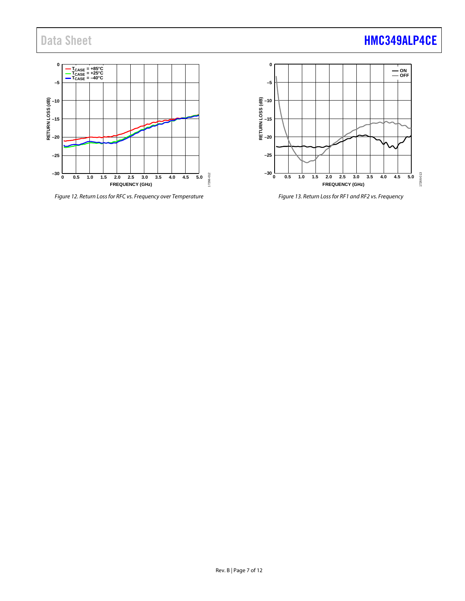# Data Sheet **[HMC349ALP4CE](https://www.analog.com/HMC349ALP4CE?doc=HMC349ALP4CE.pdf)**



*Figure 12. Return Loss for RFC vs. Frequency over Temperature*



*Figure 13. Return Loss for RF1 and RF2 vs. Frequency*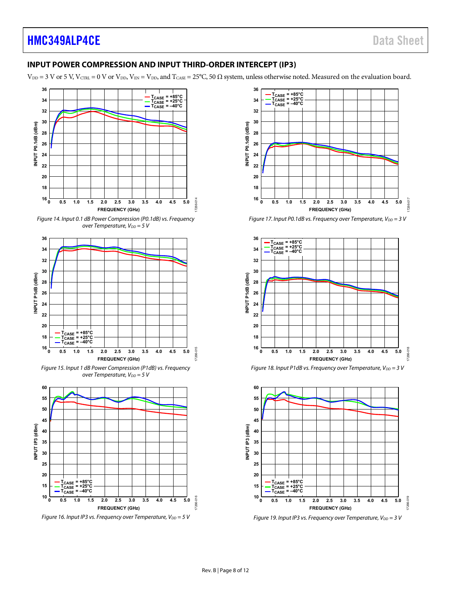# **HMC349ALP4CE** Data Sheet

## <span id="page-7-0"></span>**INPUT POWER COMPRESSION AND INPUT THIRD-ORDER INTERCEPT (IP3)**

 $V_{DD}$  = 3 V or 5 V, V<sub>CTRL</sub> = 0 V or V<sub>DD</sub>, V<sub>EN</sub> = V<sub>DD</sub>, and T<sub>CASE</sub> = 25°C, 50  $\Omega$  system, unless otherwise noted. Measured on the evaluation board.

<span id="page-7-1"></span>

Figure 16. Input IP3 vs. Frequency over Temperature,  $V_{DD} = 5 V$ 











Figure 19. Input IP3 vs. Frequency over Temperature,  $V_{DD} = 3 V$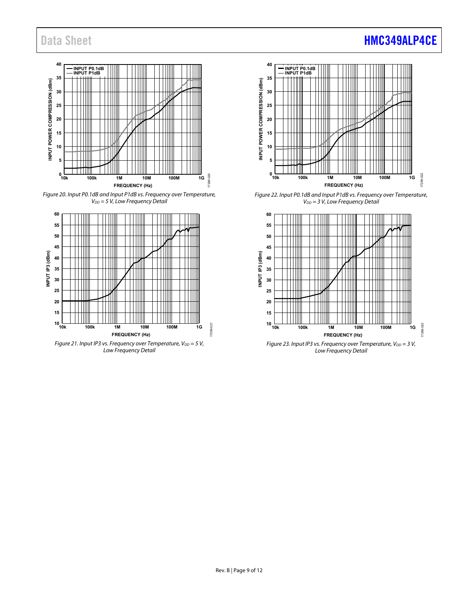#### **40 INPUT P0.1dB INPUT P1dB 35** INPUT POWER COMPRESSION (dBm) **INPUT POWER COMPRESSION (dBm) 30 25 20 15 10 5**  $^{0}_{10k}$ 7266-020 17266-020 **10k 100k 1M 10M 100M 1G FREQUENCY (Hz)**

Figure 20. Input P0.1dB and Input P1dB vs. Frequency over Temperature,  $V_{DD} = 5 V$ , Low Frequency Detail



Low Frequency Detail





Figure 22. Input P0.1dB and Input P1dB vs. Frequency over Temperature,  $V_{DD} = 3$  V, Low Frequency Detail



Rev. B | Page 9 of 12

<span id="page-8-0"></span>17266-021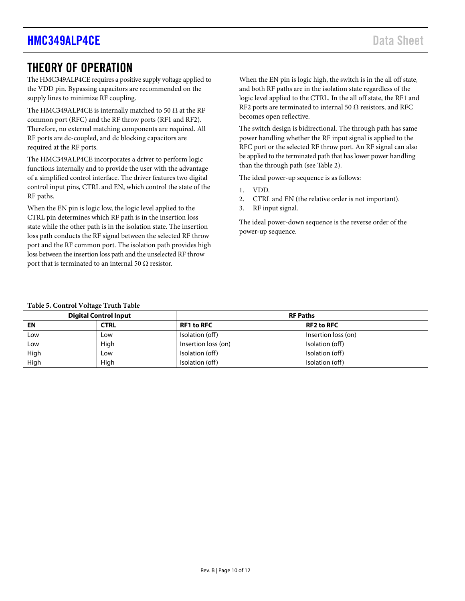# <span id="page-9-1"></span><span id="page-9-0"></span>THEORY OF OPERATION

The HMC349ALP4CE requires a positive supply voltage applied to the VDD pin. Bypassing capacitors are recommended on the supply lines to minimize RF coupling.

The HMC349ALP4CE is internally matched to 50  $\Omega$  at the RF common port (RFC) and the RF throw ports (RF1 and RF2). Therefore, no external matching components are required. All RF ports are dc-coupled, and dc blocking capacitors are required at the RF ports.

The HMC349ALP4CE incorporates a driver to perform logic functions internally and to provide the user with the advantage of a simplified control interface. The driver features two digital control input pins, CTRL and EN, which control the state of the RF paths.

When the EN pin is logic low, the logic level applied to the CTRL pin determines which RF path is in the insertion loss state while the other path is in the isolation state. The insertion loss path conducts the RF signal between the selected RF throw port and the RF common port. The isolation path provides high loss between the insertion loss path and the unselected RF throw port that is terminated to an internal 50  $\Omega$  resistor.

When the EN pin is logic high, the switch is in the all off state, and both RF paths are in the isolation state regardless of the logic level applied to the CTRL. In the all off state, the RF1 and RF2 ports are terminated to internal 50  $\Omega$  resistors, and RFC becomes open reflective.

The switch design is bidirectional. The through path has same power handling whether the RF input signal is applied to the RFC port or the selected RF throw port. An RF signal can also be applied to the terminated path that has lower power handling than the through path (see [Table 2\)](#page-3-5).

The ideal power-up sequence is as follows:

- 1. VDD.
- 2. CTRL and EN (the relative order is not important).
- 3. RF input signal.

The ideal power-down sequence is the reverse order of the power-up sequence.

### **Table 5. Control Voltage Truth Table**

| <b>Digital Control Input</b> |      | <b>RF Paths</b>     |                     |  |
|------------------------------|------|---------------------|---------------------|--|
| EN                           | CTRL | <b>RF1 to RFC</b>   | <b>RF2 to RFC</b>   |  |
| Low                          | Low  | Isolation (off)     | Insertion loss (on) |  |
| Low                          | High | Insertion loss (on) | Isolation (off)     |  |
| High                         | Low  | Isolation (off)     | Isolation (off)     |  |
| High                         | High | Isolation (off)     | Isolation (off)     |  |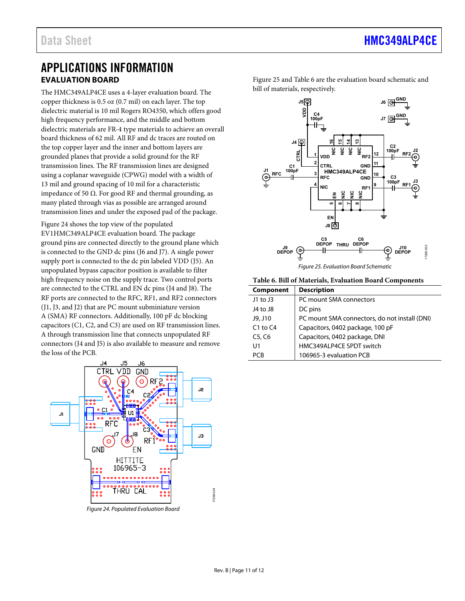## <span id="page-10-0"></span>APPLICATIONS INFORMATION **EVALUATION BOARD**

<span id="page-10-1"></span>The HMC349ALP4CE uses a 4-layer evaluation board. The copper thickness is 0.5 oz (0.7 mil) on each layer. The top dielectric material is 10 mil Rogers RO4350, which offers good high frequency performance, and the middle and bottom dielectric materials are FR-4 type materials to achieve an overall board thickness of 62 mil. All RF and dc traces are routed on the top copper layer and the inner and bottom layers are grounded planes that provide a solid ground for the RF transmission lines. The RF transmission lines are designed using a coplanar waveguide (CPWG) model with a width of 13 mil and ground spacing of 10 mil for a characteristic impedance of 50 Ω. For good RF and thermal grounding, as many plated through vias as possible are arranged around transmission lines and under the exposed pad of the package.

[Figure 24 s](#page-10-2)hows the top view of the populated EV1HMC349ALP4CE evaluation board. The package ground pins are connected directly to the ground plane which is connected to the GND dc pins (J6 and J7). A single power supply port is connected to the dc pin labeled VDD (J5). An unpopulated bypass capacitor position is available to filter high frequency noise on the supply trace. Two control ports are connected to the CTRL and EN dc pins (J4 and J8). The RF ports are connected to the RFC, RF1, and RF2 connectors (J1, J3, and J2) that are PC mount subminiature version A (SMA) RF connectors. Additionally, 100 pF dc blocking capacitors (C1, C2, and C3) are used on RF transmission lines. A through transmission line that connects unpopulated RF connectors (J4 and J5) is also available to measure and remove the loss of the PCB.



<span id="page-10-2"></span>Figure 24. Populated Evaluation Board

[Figure 25 a](#page-10-3)nd [Table 6](#page-10-4) are the evaluation board schematic and bill of materials, respectively.



<span id="page-10-4"></span><span id="page-10-3"></span>**Table 6. Bill of Materials, Evaluation Board Components** 

| <b>Component</b> | <b>Description</b>                            |
|------------------|-----------------------------------------------|
| J1 to J3         | PC mount SMA connectors                       |
| J4 to J8         | DC pins                                       |
| J9, J10          | PC mount SMA connectors, do not install (DNI) |
| $C1$ to $C4$     | Capacitors, 0402 package, 100 pF              |
| C5, C6           | Capacitors, 0402 package, DNI                 |
| U1               | HMC349ALP4CE SPDT switch                      |
| PCR              | 106965-3 evaluation PCB                       |